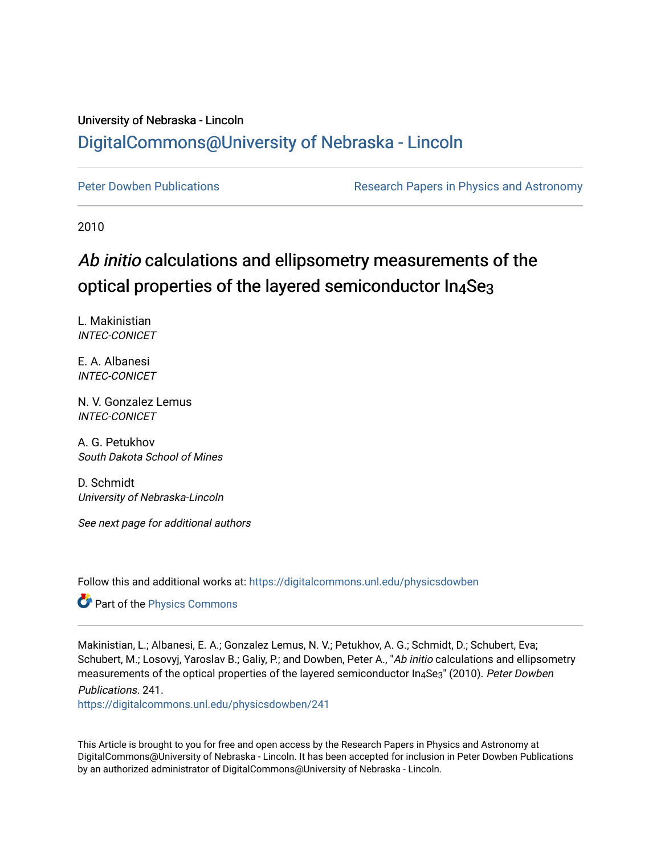## University of Nebraska - Lincoln [DigitalCommons@University of Nebraska - Lincoln](https://digitalcommons.unl.edu/)

[Peter Dowben Publications](https://digitalcommons.unl.edu/physicsdowben) **Research Papers in Physics and Astronomy** 

2010

# Ab initio calculations and ellipsometry measurements of the optical properties of the layered semiconductor In4Se3

L. Makinistian INTEC-CONICET

E. A. Albanesi INTEC-CONICET

N. V. Gonzalez Lemus INTEC-CONICET

A. G. Petukhov South Dakota School of Mines

D. Schmidt University of Nebraska-Lincoln

See next page for additional authors

Follow this and additional works at: [https://digitalcommons.unl.edu/physicsdowben](https://digitalcommons.unl.edu/physicsdowben?utm_source=digitalcommons.unl.edu%2Fphysicsdowben%2F241&utm_medium=PDF&utm_campaign=PDFCoverPages) 

Part of the [Physics Commons](http://network.bepress.com/hgg/discipline/193?utm_source=digitalcommons.unl.edu%2Fphysicsdowben%2F241&utm_medium=PDF&utm_campaign=PDFCoverPages)

Makinistian, L.; Albanesi, E. A.; Gonzalez Lemus, N. V.; Petukhov, A. G.; Schmidt, D.; Schubert, Eva; Schubert, M.; Losovyj, Yaroslav B.; Galiy, P.; and Dowben, Peter A., "Ab initio calculations and ellipsometry measurements of the optical properties of the layered semiconductor In<sub>4</sub>Se<sub>3</sub>" (2010). Peter Dowben Publications. 241.

[https://digitalcommons.unl.edu/physicsdowben/241](https://digitalcommons.unl.edu/physicsdowben/241?utm_source=digitalcommons.unl.edu%2Fphysicsdowben%2F241&utm_medium=PDF&utm_campaign=PDFCoverPages) 

This Article is brought to you for free and open access by the Research Papers in Physics and Astronomy at DigitalCommons@University of Nebraska - Lincoln. It has been accepted for inclusion in Peter Dowben Publications by an authorized administrator of DigitalCommons@University of Nebraska - Lincoln.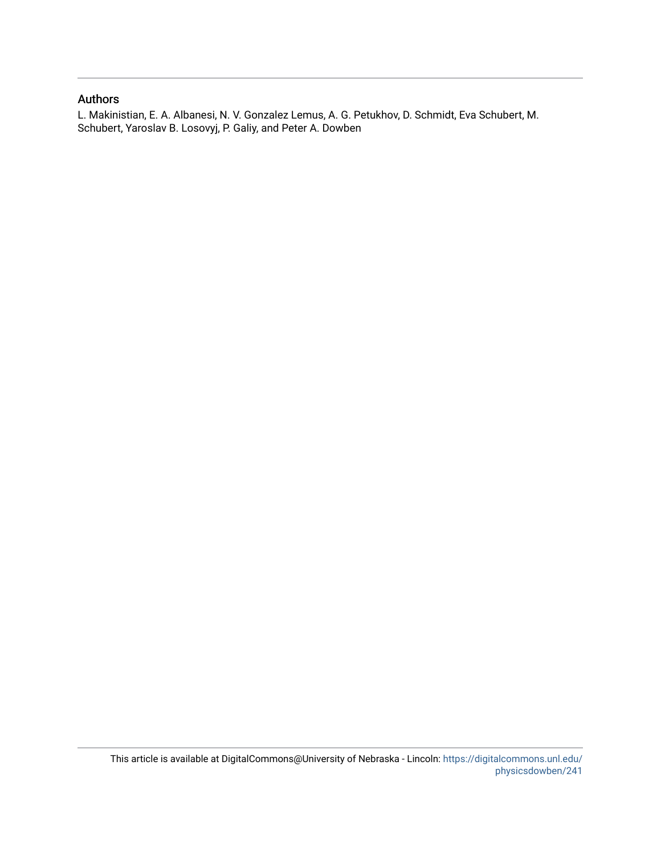### Authors

L. Makinistian, E. A. Albanesi, N. V. Gonzalez Lemus, A. G. Petukhov, D. Schmidt, Eva Schubert, M. Schubert, Yaroslav B. Losovyj, P. Galiy, and Peter A. Dowben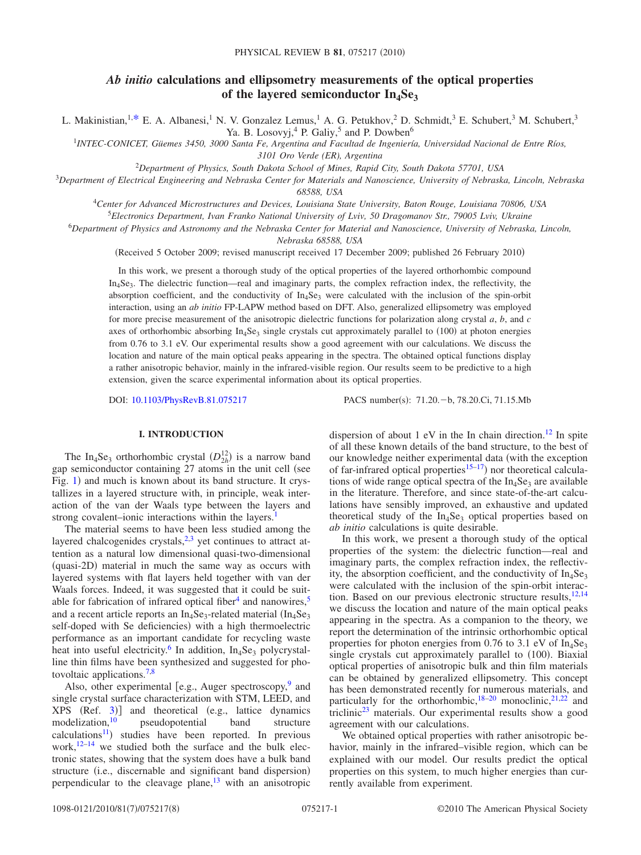## *Ab initio* **calculations and ellipsometry measurements of the optical properties** of the layered semiconductor In<sub>4</sub>Se<sub>3</sub>

L. Makinistian,<sup>1[,\\*](#page-8-0)</sup> E. A. Albanesi,<sup>1</sup> N. V. Gonzalez Lemus,<sup>1</sup> A. G. Petukhov,<sup>2</sup> D. Schmidt,<sup>3</sup> E. Schubert,<sup>3</sup> M. Schubert,<sup>3</sup> Ya. B. Losovyj,<sup>4</sup> P. Galiy,<sup>5</sup> and P. Dowben<sup>6</sup>

1 *INTEC-CONICET, Güemes 3450, 3000 Santa Fe, Argentina and Facultad de Ingeniería, Universidad Nacional de Entre Ríos, 3101 Oro Verde (ER), Argentina*

<sup>2</sup>*Department of Physics, South Dakota School of Mines, Rapid City, South Dakota 57701, USA*

<sup>3</sup>*Department of Electrical Engineering and Nebraska Center for Materials and Nanoscience, University of Nebraska, Lincoln, Nebraska*

*68588, USA*

4 *Center for Advanced Microstructures and Devices, Louisiana State University, Baton Rouge, Louisiana 70806, USA*

5 *Electronics Department, Ivan Franko National University of Lviv, 50 Dragomanov Str., 79005 Lviv, Ukraine*

<sup>6</sup>*Department of Physics and Astronomy and the Nebraska Center for Material and Nanoscience, University of Nebraska, Lincoln,*

*Nebraska 68588, USA*

(Received 5 October 2009; revised manuscript received 17 December 2009; published 26 February 2010)

In this work, we present a thorough study of the optical properties of the layered orthorhombic compound In<sub>4</sub>Se<sub>3</sub>. The dielectric function—real and imaginary parts, the complex refraction index, the reflectivity, the absorption coefficient, and the conductivity of  $In_4$ Se<sub>3</sub> were calculated with the inclusion of the spin-orbit interaction, using an *ab initio* FP-LAPW method based on DFT. Also, generalized ellipsometry was employed for more precise measurement of the anisotropic dielectric functions for polarization along crystal *a*, *b*, and *c* axes of orthorhombic absorbing  $In_4Se_3$  single crystals cut approximately parallel to (100) at photon energies from 0.76 to 3.1 eV. Our experimental results show a good agreement with our calculations. We discuss the location and nature of the main optical peaks appearing in the spectra. The obtained optical functions display a rather anisotropic behavior, mainly in the infrared-visible region. Our results seem to be predictive to a high extension, given the scarce experimental information about its optical properties.

DOI: [10.1103/PhysRevB.81.075217](http://dx.doi.org/10.1103/PhysRevB.81.075217)

PACS number(s): 71.20. - b, 78.20.Ci, 71.15.Mb

#### **I. INTRODUCTION**

The In<sub>4</sub>Se<sub>3</sub> orthorhombic crystal  $(D_{2h}^{12})$  is a narrow band gap semiconductor containing  $27$  atoms in the unit cell (see Fig. [1](#page-3-0)) and much is known about its band structure. It crystallizes in a layered structure with, in principle, weak interaction of the van der Waals type between the layers and strong covalent–ionic interactions within the layers.<sup>1</sup>

The material seems to have been less studied among the layered chalcogenides crystals, $2,3$  $2,3$  yet continues to attract attention as a natural low dimensional quasi-two-dimensional (quasi-2D) material in much the same way as occurs with layered systems with flat layers held together with van der Waals forces. Indeed, it was suggested that it could be suitable for fabrication of infrared optical fiber<sup>4</sup> and nanowires,<sup>5</sup> and a recent article reports an  $In_4Se_3$ -related material  $(In_4Se_3$ self-doped with Se deficiencies) with a high thermoelectric performance as an important candidate for recycling waste heat into useful electricity.<sup>6</sup> In addition,  $In_4Se_3$  polycrystalline thin films have been synthesized and suggested for photovoltaic applications[.7,](#page-8-7)[8](#page-8-8)

Also, other experimental [e.g., Auger spectroscopy, $9$  and single crystal surface characterization with STM, LEED, and XPS (Ref. [3](#page-8-3))] and theoretical (e.g., lattice dynamics modelization[,10](#page-8-10) pseudopotential band structure calculations<sup>11</sup>) studies have been reported. In previous work,<sup>12[–14](#page-9-0)</sup> we studied both the surface and the bulk electronic states, showing that the system does have a bulk band structure (i.e., discernable and significant band dispersion) perpendicular to the cleavage plane, $13$  with an anisotropic dispersion of about 1 eV in the In chain direction.<sup>12</sup> In spite of all these known details of the band structure, to the best of our knowledge neither experimental data (with the exception of far-infrared optical properties<sup>15[–17](#page-9-2)</sup>) nor theoretical calculations of wide range optical spectra of the  $In_4Se_3$  are available in the literature. Therefore, and since state-of-the-art calculations have sensibly improved, an exhaustive and updated theoretical study of the  $In_4Se_3$  optical properties based on *ab initio* calculations is quite desirable.

In this work, we present a thorough study of the optical properties of the system: the dielectric function—real and imaginary parts, the complex refraction index, the reflectivity, the absorption coefficient, and the conductivity of  $In_4Se_3$ were calculated with the inclusion of the spin-orbit interac-tion. Based on our previous electronic structure results,<sup>12[,14](#page-9-0)</sup> we discuss the location and nature of the main optical peaks appearing in the spectra. As a companion to the theory, we report the determination of the intrinsic orthorhombic optical properties for photon energies from 0.76 to 3.1 eV of  $In_4Se_3$ single crystals cut approximately parallel to (100). Biaxial optical properties of anisotropic bulk and thin film materials can be obtained by generalized ellipsometry. This concept has been demonstrated recently for numerous materials, and particularly for the orthorhombic,  $18-20$  monoclinic,  $21,22$  $21,22$  and triclini[c23](#page-9-7) materials. Our experimental results show a good agreement with our calculations.

We obtained optical properties with rather anisotropic behavior, mainly in the infrared–visible region, which can be explained with our model. Our results predict the optical properties on this system, to much higher energies than currently available from experiment.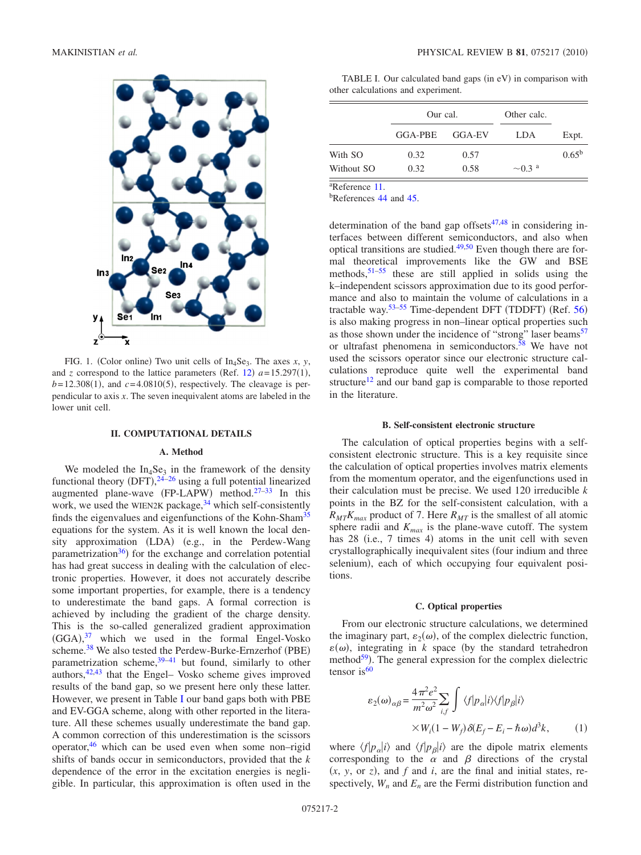<span id="page-3-0"></span>

FIG. 1. (Color online) Two unit cells of  $In_4Se_3$ . The axes *x*, *y*, and *z* correspond to the lattice parameters (Ref. [12](#page-8-12))  $a = 15.297(1)$ ,  $b=12.308(1)$ , and  $c=4.0810(5)$ , respectively. The cleavage is perpendicular to axis *x*. The seven inequivalent atoms are labeled in the lower unit cell.

#### **II. COMPUTATIONAL DETAILS**

#### **A. Method**

We modeled the  $In<sub>4</sub>Se<sub>3</sub>$  in the framework of the density functional theory  $(DFT),^{24-26}$  $(DFT),^{24-26}$  $(DFT),^{24-26}$  using a full potential linearized augmented plane-wave (FP-LAPW) method.<sup>27–[33](#page-9-11)</sup> In this work, we used the WIEN2K package,  $34$  which self-consistently finds the eigenvalues and eigenfunctions of the Kohn-Sham<sup>35</sup> equations for the system. As it is well known the local density approximation (LDA) (e.g., in the Perdew-Wang parametrization<sup>36</sup>) for the exchange and correlation potential has had great success in dealing with the calculation of electronic properties. However, it does not accurately describe some important properties, for example, there is a tendency to underestimate the band gaps. A formal correction is achieved by including the gradient of the charge density. This is the so-called generalized gradient approximation  $(GGA)$ ,<sup>[37](#page-9-15)</sup> which we used in the formal Engel-Vosko scheme.<sup>38</sup> We also tested the Perdew-Burke-Ernzerhof (PBE) parametrization scheme, $39-41$  $39-41$  but found, similarly to other authors[,42](#page-9-19)[,43](#page-9-20) that the Engel– Vosko scheme gives improved results of the band gap, so we present here only these latter. However, we present in Table [I](#page-3-1) our band gaps both with PBE and EV-GGA scheme, along with other reported in the literature. All these schemes usually underestimate the band gap. A common correction of this underestimation is the scissors operator, $46$  which can be used even when some non–rigid shifts of bands occur in semiconductors, provided that the *k* dependence of the error in the excitation energies is negligible. In particular, this approximation is often used in the

<span id="page-3-1"></span>TABLE I. Our calculated band gaps (in eV) in comparison with other calculations and experiment.

|            | Our cal. |        | Other calc.             |            |
|------------|----------|--------|-------------------------|------------|
|            | GGA-PBE  | GGA-EV | LDA                     | Expt.      |
| With SO    | 0.32     | 0.57   |                         | $0.65^{b}$ |
| Without SO | 0.32     | 0.58   | $\sim 0.3$ <sup>a</sup> |            |

a Reference [11.](#page-8-11)

<sup>b</sup>References [44](#page-9-34) and [45.](#page-9-35)

determination of the band gap offsets $47,48$  $47,48$  in considering interfaces between different semiconductors, and also when optical transitions are studied. $49,50$  $49,50$  Even though there are formal theoretical improvements like the GW and BSE methods,  $51-55$  $51-55$  these are still applied in solids using the k–independent scissors approximation due to its good performance and also to maintain the volume of calculations in a tractable way. $53-55$  Time-dependent DFT (TDDFT) (Ref. [56](#page-9-29)) is also making progress in non–linear optical properties such as those shown under the incidence of "strong" laser beams<sup>57</sup> or ultrafast phenomena in semiconductors[.58](#page-9-31) We have not used the scissors operator since our electronic structure calculations reproduce quite well the experimental band structure<sup>12</sup> and our band gap is comparable to those reported in the literature.

#### **B. Self-consistent electronic structure**

The calculation of optical properties begins with a selfconsistent electronic structure. This is a key requisite since the calculation of optical properties involves matrix elements from the momentum operator, and the eigenfunctions used in their calculation must be precise. We used 120 irreducible *k* points in the BZ for the self-consistent calculation, with a  $R_{MT}K_{max}$  product of 7. Here  $R_{MT}$  is the smallest of all atomic sphere radii and  $K_{max}$  is the plane-wave cutoff. The system has 28 (i.e., 7 times 4) atoms in the unit cell with seven crystallographically inequivalent sites (four indium and three selenium), each of which occupying four equivalent positions.

#### **C. Optical properties**

From our electronic structure calculations, we determined the imaginary part,  $\varepsilon_2(\omega)$ , of the complex dielectric function,  $\varepsilon(\omega)$ , integrating in *k* space (by the standard tetrahedron method<sup>59</sup>). The general expression for the complex dielectric tensor is $60$ 

$$
\varepsilon_2(\omega)_{\alpha\beta} = \frac{4\pi^2 e^2}{m^2 \omega^2} \sum_{i,f} \int \langle f|p_\alpha|i\rangle \langle f|p_\beta|i\rangle
$$
  
 
$$
\times W_i(1 - W_f) \delta(E_f - E_i - \hbar \omega) d^3k,
$$
 (1)

where  $\langle f|p_{\alpha}|i\rangle$  and  $\langle f|p_{\beta}|i\rangle$  are the dipole matrix elements corresponding to the  $\alpha$  and  $\beta$  directions of the crystal  $(x, y, \text{ or } z)$ , and  $f$  and  $i$ , are the final and initial states, respectively,  $W_n$  and  $E_n$  are the Fermi distribution function and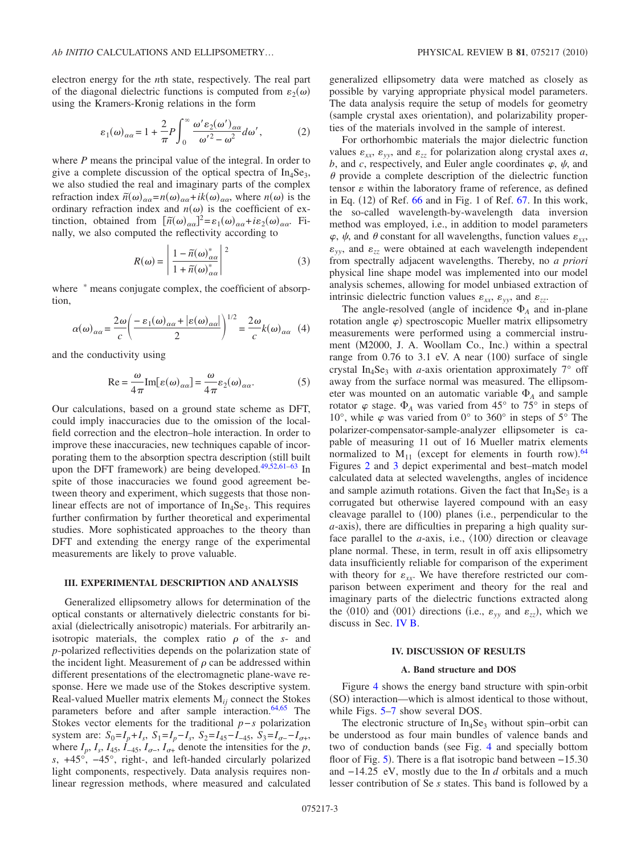$$
\varepsilon_1(\omega)_{\alpha\alpha} = 1 + \frac{2}{\pi} P \int_0^\infty \frac{\omega' \varepsilon_2(\omega')_{\alpha\alpha}}{\omega'^2 - \omega^2} d\omega', \tag{2}
$$

where *P* means the principal value of the integral. In order to give a complete discussion of the optical spectra of  $In_4Se_3$ , we also studied the real and imaginary parts of the complex refraction index  $\tilde{n}(\omega)_{\alpha\alpha} = n(\omega)_{\alpha\alpha} + ik(\omega)_{\alpha\alpha}$ , where  $n(\omega)$  is the ordinary refraction index and  $n(\omega)$  is the coefficient of extinction, obtained from  $[\tilde{n}(\omega)_{\alpha\alpha}]^2 = \varepsilon_1(\omega)_{\alpha\alpha} + i\varepsilon_2(\omega)_{\alpha\alpha}$ . Finally, we also computed the reflectivity according to

$$
R(\omega) = \left| \frac{1 - \tilde{n}(\omega)_{\alpha\alpha}^*}{1 + \tilde{n}(\omega)_{\alpha\alpha}^*} \right|^2 \tag{3}
$$

where  $*$  means conjugate complex, the coefficient of absorption,

$$
\alpha(\omega)_{\alpha\alpha} = \frac{2\omega}{c} \left( \frac{-\varepsilon_1(\omega)_{\alpha\alpha} + |\varepsilon(\omega)_{\alpha\alpha}|}{2} \right)^{1/2} = \frac{2\omega}{c} k(\omega)_{\alpha\alpha} \quad (4)
$$

and the conductivity using

$$
\text{Re} = \frac{\omega}{4\pi} \text{Im}[\varepsilon(\omega)_{\alpha\alpha}] = \frac{\omega}{4\pi} \varepsilon_2(\omega)_{\alpha\alpha}.
$$
 (5)

Our calculations, based on a ground state scheme as DFT, could imply inaccuracies due to the omission of the localfield correction and the electron–hole interaction. In order to improve these inaccuracies, new techniques capable of incorporating them to the absorption spectra description (still built upon the DFT framework) are being developed. $49,52,61-63$  $49,52,61-63$  $49,52,61-63$  $49,52,61-63$  In spite of those inaccuracies we found good agreement between theory and experiment, which suggests that those nonlinear effects are not of importance of  $In_4Se_3$ . This requires further confirmation by further theoretical and experimental studies. More sophisticated approaches to the theory than DFT and extending the energy range of the experimental measurements are likely to prove valuable.

#### **III. EXPERIMENTAL DESCRIPTION AND ANALYSIS**

Generalized ellipsometry allows for determination of the optical constants or alternatively dielectric constants for biaxial (dielectrically anisotropic) materials. For arbitrarily anisotropic materials, the complex ratio  $\rho$  of the *s*- and *p*-polarized reflectivities depends on the polarization state of the incident light. Measurement of  $\rho$  can be addressed within different presentations of the electromagnetic plane-wave response. Here we made use of the Stokes descriptive system. Real-valued Mueller matrix elements M*ij* connect the Stokes parameters before and after sample interaction.<sup>64[,65](#page-9-40)</sup> The Stokes vector elements for the traditional *p*−*s* polarization system are:  $S_0 = I_p + I_s$ ,  $S_1 = I_p - I_s$ ,  $S_2 = I_{45} - I_{-45}$ ,  $S_3 = I_{\sigma-} - I_{\sigma+}$ , where  $I_p$ ,  $I_s$ ,  $I_{45}$ ,  $\dot{I}_{-45}$ ,  $I_{\sigma-1}$ ,  $I_{\sigma+1}$  denote the intensities for the *p*, *s*, +45°, −45°, right-, and left-handed circularly polarized light components, respectively. Data analysis requires nonlinear regression methods, where measured and calculated generalized ellipsometry data were matched as closely as possible by varying appropriate physical model parameters. The data analysis require the setup of models for geometry (sample crystal axes orientation), and polarizability properties of the materials involved in the sample of interest.

For orthorhombic materials the major dielectric function values  $\varepsilon_{xx}$ ,  $\varepsilon_{yy}$ , and  $\varepsilon_{zz}$  for polarization along crystal axes *a*, b, and c, respectively, and Euler angle coordinates  $\varphi$ ,  $\psi$ , and  $\theta$  provide a complete description of the dielectric function tensor  $\varepsilon$  within the laboratory frame of reference, as defined in Eq.  $(12)$  of Ref. [66](#page-9-41) and in Fig. 1 of Ref. [67.](#page-9-42) In this work, the so-called wavelength-by-wavelength data inversion method was employed, i.e., in addition to model parameters  $\varphi$ ,  $\psi$ , and  $\theta$  constant for all wavelengths, function values  $\varepsilon_{xx}$ ,  $\varepsilon_{yy}$ , and  $\varepsilon_{zz}$  were obtained at each wavelength independent from spectrally adjacent wavelengths. Thereby, no *a priori* physical line shape model was implemented into our model analysis schemes, allowing for model unbiased extraction of intrinsic dielectric function values  $\varepsilon_{xx}$ ,  $\varepsilon_{yy}$ , and  $\varepsilon_{zz}$ .

The angle-resolved (angle of incidence  $\Phi_A$  and in-plane rotation angle  $\varphi$ ) spectroscopic Mueller matrix ellipsometry measurements were performed using a commercial instrument (M2000, J. A. Woollam Co., Inc.) within a spectral range from  $0.76$  to  $3.1$  eV. A near  $(100)$  surface of single crystal In<sub>4</sub>Se<sub>3</sub> with *a*-axis orientation approximately  $7^\circ$  off away from the surface normal was measured. The ellipsometer was mounted on an automatic variable  $\Phi_A$  and sample rotator  $\varphi$  stage.  $\Phi$ <sub>A</sub> was varied from 45° to 75° in steps of 10°, while  $\varphi$  was varied from 0° to 360° in steps of 5° The polarizer-compensator-sample-analyzer ellipsometer is capable of measuring 11 out of 16 Mueller matrix elements normalized to  $M_{11}$  (except for elements in fourth row).<sup>[64](#page-9-39)</sup> Figures [2](#page-5-0) and [3](#page-5-1) depict experimental and best–match model calculated data at selected wavelengths, angles of incidence and sample azimuth rotations. Given the fact that  $In_4Se_3$  is a corrugated but otherwise layered compound with an easy cleavage parallel to (100) planes (i.e., perpendicular to the a-axis), there are difficulties in preparing a high quality surface parallel to the *a*-axis, i.e.,  $\langle 100 \rangle$  direction or cleavage plane normal. These, in term, result in off axis ellipsometry data insufficiently reliable for comparison of the experiment with theory for  $\varepsilon_{xx}$ . We have therefore restricted our comparison between experiment and theory for the real and imaginary parts of the dielectric functions extracted along the  $\langle 010 \rangle$  and  $\langle 001 \rangle$  directions (i.e.,  $\varepsilon_{yy}$  and  $\varepsilon_{zz}$ ), which we discuss in Sec. [IV B.](#page-6-0)

#### **IV. DISCUSSION OF RESULTS**

#### **A. Band structure and DOS**

Figure [4](#page-5-2) shows the energy band structure with spin-orbit (SO) interaction—which is almost identical to those without, while Figs. [5](#page-5-3)[–7](#page-6-1) show several DOS.

The electronic structure of  $In_4Se_3$  without spin–orbit can be understood as four main bundles of valence bands and two of conduction bands (see Fig. [4](#page-5-2) and specially bottom floor of Fig. [5](#page-5-3)). There is a flat isotropic band between -15.30 and −14.25 eV, mostly due to the In *d* orbitals and a much lesser contribution of Se *s* states. This band is followed by a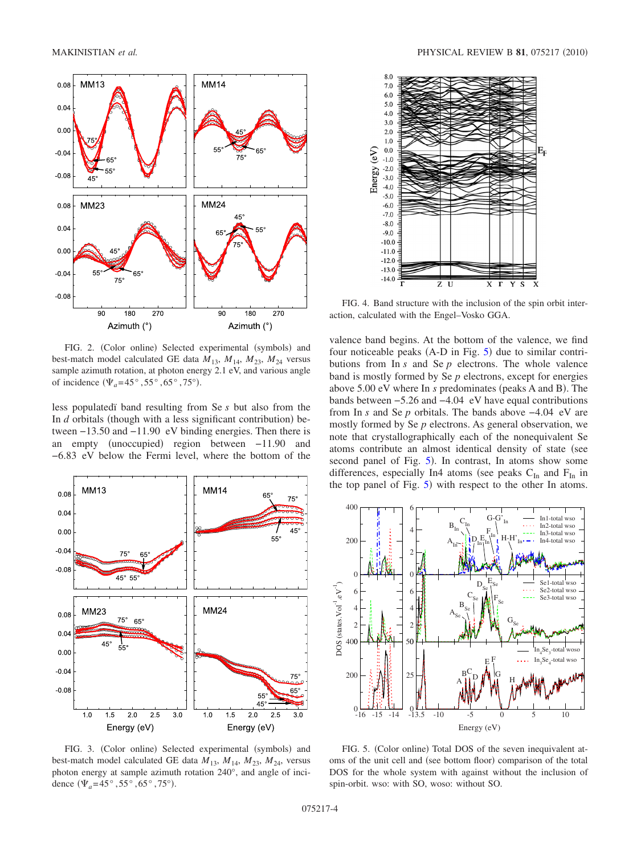<span id="page-5-0"></span>

FIG. 2. (Color online) Selected experimental (symbols) and best-match model calculated GE data  $M_{13}$ ,  $M_{14}$ ,  $M_{23}$ ,  $M_{24}$  versus sample azimuth rotation, at photon energy 2.1 eV, and various angle of incidence  $(\Psi_a=45^\circ, 55^\circ, 65^\circ, 75^\circ)$ .

less populatedï band resulting from Se *s* but also from the In  $d$  orbitals (though with a less significant contribution) between −13.50 and −11.90 eV binding energies. Then there is an empty (unoccupied) region between −11.90 and −6.83 eV below the Fermi level, where the bottom of the

<span id="page-5-1"></span>

FIG. 3. (Color online) Selected experimental (symbols) and best-match model calculated GE data  $M_{13}$ ,  $M_{14}$ ,  $M_{23}$ ,  $M_{24}$ , versus photon energy at sample azimuth rotation 240°, and angle of incidence  $(\Psi_a = 45^\circ, 55^\circ, 65^\circ, 75^\circ)$ .

<span id="page-5-2"></span>

FIG. 4. Band structure with the inclusion of the spin orbit interaction, calculated with the Engel–Vosko GGA.

valence band begins. At the bottom of the valence, we find four noticeable peaks  $(A-D \text{ in Fig. 5})$  $(A-D \text{ in Fig. 5})$  $(A-D \text{ in Fig. 5})$  due to similar contributions from In *s* and Se *p* electrons. The whole valence band is mostly formed by Se *p* electrons, except for energies above 5.00 eV where In *s* predominates (peaks A and B). The bands between −5.26 and −4.04 eV have equal contributions from In *s* and Se *p* orbitals. The bands above −4.04 eV are mostly formed by Se *p* electrons. As general observation, we note that crystallographically each of the nonequivalent Se atoms contribute an almost identical density of state (see second panel of Fig. [5](#page-5-3)). In contrast, In atoms show some differences, especially In4 atoms (see peaks  $C_{In}$  and  $F_{In}$  in the top panel of Fig. [5](#page-5-3)) with respect to the other In atoms.

<span id="page-5-3"></span>

FIG. 5. (Color online) Total DOS of the seven inequivalent atoms of the unit cell and (see bottom floor) comparison of the total DOS for the whole system with against without the inclusion of spin-orbit. wso: with SO, woso: without SO.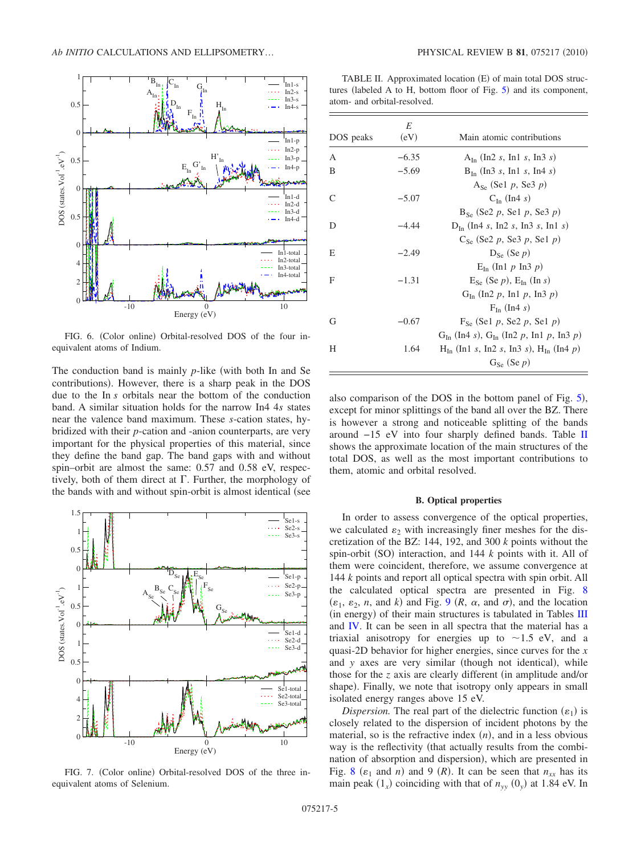

FIG. 6. (Color online) Orbital-resolved DOS of the four inequivalent atoms of Indium.

The conduction band is mainly *p*-like (with both In and Se contributions). However, there is a sharp peak in the DOS due to the In *s* orbitals near the bottom of the conduction band. A similar situation holds for the narrow In4 4*s* states near the valence band maximum. These *s*-cation states, hybridized with their *p*-cation and -anion counterparts, are very important for the physical properties of this material, since they define the band gap. The band gaps with and without spin–orbit are almost the same: 0.57 and 0.58 eV, respectively, both of them direct at  $\Gamma$ . Further, the morphology of the bands with and without spin-orbit is almost identical (see

<span id="page-6-1"></span>

FIG. 7. (Color online) Orbital-resolved DOS of the three inequivalent atoms of Selenium.

<span id="page-6-2"></span>TABLE II. Approximated location (E) of main total DOS struc-tures (labeled A to H, bottom floor of Fig. [5](#page-5-3)) and its component, atom- and orbital-resolved.

|           | E       |                                                  |
|-----------|---------|--------------------------------------------------|
| DOS peaks | (eV)    | Main atomic contributions                        |
| A         | $-6.35$ | $A_{In}$ (In2 s, In1 s, In3 s)                   |
| B         | $-5.69$ | $B_{I_n}$ (In3 s, In1 s, In4 s)                  |
|           |         | $A_{S_e}$ (Sel p, Se3 p)                         |
| C         | $-5.07$ | $C_{\text{In}}$ (In4 s)                          |
|           |         | $B_{S_e}$ (Se2 p, Se1 p, Se3 p)                  |
| D         | $-4.44$ | $D_{In}$ (In4 s, In2 s, In3 s, In1 s)            |
|           |         | $C_{S_p}$ (Se2 p, Se3 p, Se1 p)                  |
| Е         | $-2.49$ | $D_{S_{\alpha}}$ (Se p)                          |
|           |         | $E_{In}$ (In1 p In3 p)                           |
| F         | $-1.31$ | $E_{S_{\rm P}}$ (Se p), $E_{In}$ (In s)          |
|           |         | $G_{In}$ (In2 p, In1 p, In3 p)                   |
|           |         | $F_{In}$ (In4 s)                                 |
| G         | $-0.67$ | $F_{S_{\alpha}}$ (Se1 p, Se2 p, Se1 p)           |
|           |         | $G_{In}$ (In4 s), $G_{In}$ (In2 p, In1 p, In3 p) |
| Н         | 1.64    | $H_{In}$ (In1 s, In2 s, In3 s), $H_{In}$ (In4 p) |
|           |         | $G_{S_{\rho}}$ (Se p)                            |

also comparison of the DOS in the bottom panel of Fig. [5](#page-5-3)), except for minor splittings of the band all over the BZ. There is however a strong and noticeable splitting of the bands around −15 eV into four sharply defined bands. Table [II](#page-6-2) shows the approximate location of the main structures of the total DOS, as well as the most important contributions to them, atomic and orbital resolved.

#### **B. Optical properties**

<span id="page-6-0"></span>In order to assess convergence of the optical properties, we calculated  $\varepsilon_2$  with increasingly finer meshes for the discretization of the BZ: 144, 192, and 300 *k* points without the spin-orbit (SO) interaction, and 144 *k* points with it. All of them were coincident, therefore, we assume convergence at 144 *k* points and report all optical spectra with spin orbit. All the calculated optical spectra are presented in Fig. [8](#page-7-0)  $(\varepsilon_1, \varepsilon_2, n, \text{ and } k)$  and Fig. [9](#page-7-1)  $(R, \alpha, \text{ and } \sigma)$ , and the location (in energy) of their main structures is tabulated in Tables [III](#page-7-2) and [IV.](#page-8-14) It can be seen in all spectra that the material has a triaxial anisotropy for energies up to  $\sim$ 1.5 eV, and a quasi-2D behavior for higher energies, since curves for the *x* and *y* axes are very similar (though not identical), while those for the  $z$  axis are clearly different (in amplitude and/or shape). Finally, we note that isotropy only appears in small isolated energy ranges above 15 eV.

*Dispersion*. The real part of the dielectric function  $(\varepsilon_1)$  is closely related to the dispersion of incident photons by the material, so is the refractive index  $(n)$ , and in a less obvious way is the reflectivity (that actually results from the combination of absorption and dispersion), which are presented in Fig. [8](#page-7-0) ( $\varepsilon_1$  and *n*) and 9 (*R*). It can be seen that  $n_{xx}$  has its main peak  $(1_x)$  coinciding with that of  $n_{yy}(0_y)$  at 1.84 eV. In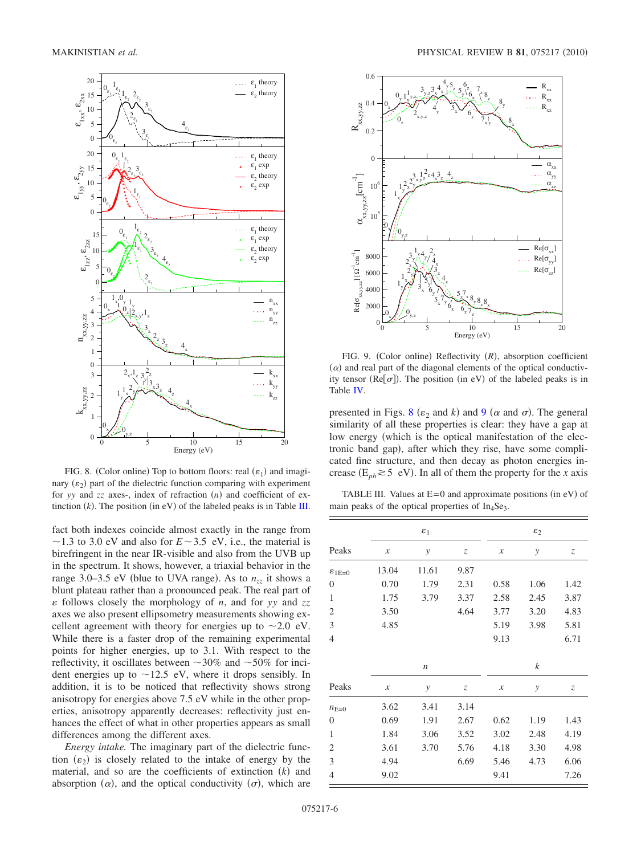<span id="page-7-0"></span>

FIG. 8. (Color online) Top to bottom floors: real  $(\varepsilon_1)$  and imaginary  $(\varepsilon_2)$  part of the dielectric function comparing with experiment for *yy* and *zz* axes-, index of refraction (*n*) and coefficient of extinction  $(k)$ . The position (in eV) of the labeled peaks is in Table [III.](#page-7-2)

fact both indexes coincide almost exactly in the range from  $\sim$ 1.3 to 3.0 eV and also for  $E \sim$ 3.5 eV, i.e., the material is birefringent in the near IR-visible and also from the UVB up in the spectrum. It shows, however, a triaxial behavior in the range 3.0–3.5 eV (blue to UVA range). As to  $n_{zz}$  it shows a blunt plateau rather than a pronounced peak. The real part of - follows closely the morphology of *n*, and for *yy* and *zz* axes we also present ellipsometry measurements showing excellent agreement with theory for energies up to  $\sim$  2.0 eV. While there is a faster drop of the remaining experimental points for higher energies, up to 3.1. With respect to the reflectivity, it oscillates between  $\sim$ 30% and  $\sim$ 50% for incident energies up to  $\sim$ 12.5 eV, where it drops sensibly. In addition, it is to be noticed that reflectivity shows strong anisotropy for energies above 7.5 eV while in the other properties, anisotropy apparently decreases: reflectivity just enhances the effect of what in other properties appears as small differences among the different axes.

*Energy intake.* The imaginary part of the dielectric function  $(\varepsilon_2)$  is closely related to the intake of energy by the material, and so are the coefficients of extinction  $(k)$  and absorption  $(\alpha)$ , and the optical conductivity  $(\sigma)$ , which are

<span id="page-7-1"></span>

FIG. 9. (Color online) Reflectivity (R), absorption coefficient  $(\alpha)$  and real part of the diagonal elements of the optical conductivity tensor ( $\text{Re}[\sigma]$ ). The position (in eV) of the labeled peaks is in Table [IV.](#page-8-14)

presented in Figs. [8](#page-7-0) ( $\varepsilon_2$  and *k*) and [9](#page-7-1) ( $\alpha$  and  $\sigma$ ). The general similarity of all these properties is clear: they have a gap at low energy (which is the optical manifestation of the electronic band gap), after which they rise, have some complicated fine structure, and then decay as photon energies increase ( $E_{ph} \gtrsim 5$  eV). In all of them the property for the *x* axis

<span id="page-7-2"></span>TABLE III. Values at  $E=0$  and approximate positions (in eV) of main peaks of the optical properties of  $In<sub>4</sub>Se<sub>3</sub>$ .

|                      |                            | $\varepsilon_1$  | $\varepsilon_2$                      |                            |      |      |  |  |
|----------------------|----------------------------|------------------|--------------------------------------|----------------------------|------|------|--|--|
| Peaks                | $\boldsymbol{\mathcal{X}}$ | $\mathcal{Y}$    | $\ensuremath{\mathnormal{Z}}\xspace$ | $\boldsymbol{\mathcal{X}}$ | у    | Z    |  |  |
| $\varepsilon_{1E=0}$ | 13.04                      | 11.61            | 9.87                                 |                            |      |      |  |  |
| $\boldsymbol{0}$     | 0.70                       | 1.79             | 2.31                                 | 0.58                       | 1.06 | 1.42 |  |  |
| $\mathbf{1}$         | 1.75                       | 3.79             | 3.37                                 | 2.58                       | 2.45 | 3.87 |  |  |
| $\overline{c}$       | 3.50                       |                  | 4.64                                 | 3.77                       | 3.20 | 4.83 |  |  |
| 3                    | 4.85                       |                  |                                      | 5.19                       | 3.98 | 5.81 |  |  |
| 4                    |                            |                  |                                      | 9.13                       |      | 6.71 |  |  |
|                      |                            | $\boldsymbol{n}$ |                                      |                            | k    |      |  |  |
| Peaks                | $\boldsymbol{\mathcal{X}}$ | $\mathcal{Y}$    | $\ensuremath{\mathnormal{Z}}\xspace$ | $\boldsymbol{\mathcal{X}}$ | у    | Z    |  |  |
| $n_{E=0}$            | 3.62                       | 3.41             | 3.14                                 |                            |      |      |  |  |
| $\boldsymbol{0}$     | 0.69                       | 1.91             | 2.67                                 | 0.62                       | 1.19 | 1.43 |  |  |
| $\mathbf{1}$         | 1.84                       | 3.06             | 3.52                                 | 3.02                       | 2.48 | 4.19 |  |  |
| $\overline{c}$       | 3.61                       | 3.70             | 5.76                                 | 4.18                       | 3.30 | 4.98 |  |  |
| 3                    | 4.94                       |                  | 6.69                                 | 5.46                       | 4.73 | 6.06 |  |  |
| 4                    | 9.02                       |                  |                                      | 9.41                       |      | 7.26 |  |  |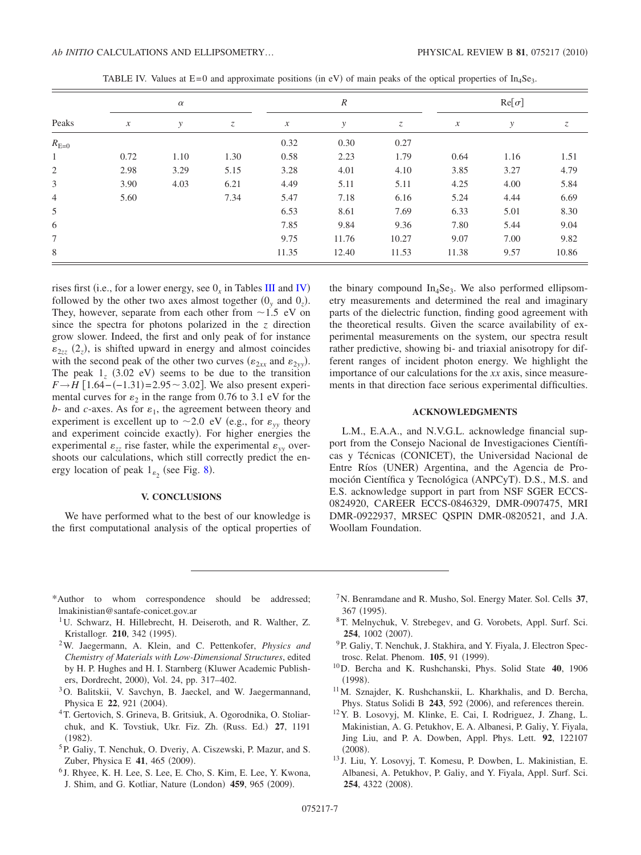<span id="page-8-14"></span>

| Peaks          | $\alpha$                   |      |      | $\boldsymbol{R}$           |       |       |                            | $\text{Re}[\sigma]$ |       |  |
|----------------|----------------------------|------|------|----------------------------|-------|-------|----------------------------|---------------------|-------|--|
|                | $\boldsymbol{\mathcal{X}}$ | у    | Z    | $\boldsymbol{\mathcal{X}}$ | у     | Z     | $\boldsymbol{\mathcal{X}}$ | у                   | Z     |  |
| $R_{E=0}$      |                            |      |      | 0.32                       | 0.30  | 0.27  |                            |                     |       |  |
| $\mathbf{1}$   | 0.72                       | 1.10 | 1.30 | 0.58                       | 2.23  | 1.79  | 0.64                       | 1.16                | 1.51  |  |
| 2              | 2.98                       | 3.29 | 5.15 | 3.28                       | 4.01  | 4.10  | 3.85                       | 3.27                | 4.79  |  |
| 3              | 3.90                       | 4.03 | 6.21 | 4.49                       | 5.11  | 5.11  | 4.25                       | 4.00                | 5.84  |  |
| $\overline{4}$ | 5.60                       |      | 7.34 | 5.47                       | 7.18  | 6.16  | 5.24                       | 4.44                | 6.69  |  |
| 5              |                            |      |      | 6.53                       | 8.61  | 7.69  | 6.33                       | 5.01                | 8.30  |  |
| 6              |                            |      |      | 7.85                       | 9.84  | 9.36  | 7.80                       | 5.44                | 9.04  |  |
| 7              |                            |      |      | 9.75                       | 11.76 | 10.27 | 9.07                       | 7.00                | 9.82  |  |
| 8              |                            |      |      | 11.35                      | 12.40 | 11.53 | 11.38                      | 9.57                | 10.86 |  |

TABLE IV. Values at  $E=0$  and approximate positions (in eV) of main peaks of the optical properties of In<sub>4</sub>Se<sub>3</sub>.

rises first (i.e., for a lower energy, see  $0_x$  in Tables [III](#page-7-2) and [IV](#page-8-14)) followed by the other two axes almost together  $(0_y \text{ and } 0_z)$ . They, however, separate from each other from  $\sim 1.5$  eV on since the spectra for photons polarized in the *z* direction grow slower. Indeed, the first and only peak of for instance  $\varepsilon_{2zz}$  (2<sub>z</sub>), is shifted upward in energy and almost coincides with the second peak of the other two curves  $(\varepsilon_{2xx}$  and  $\varepsilon_{2yy})$ . The peak  $1_z$  (3.02 eV) seems to be due to the transition  $F \rightarrow H$  [1.64 – (-1.31) = 2.95 ~ 3.02]. We also present experimental curves for  $\varepsilon_2$  in the range from 0.76 to 3.1 eV for the  $b$ - and *c*-axes. As for  $\varepsilon_1$ , the agreement between theory and experiment is excellent up to  $\sim$  2.0 eV (e.g., for  $\varepsilon_{yy}$  theory and experiment coincide exactly). For higher energies the experimental  $\varepsilon_{zz}$  rise faster, while the experimental  $\varepsilon_{yy}$  overshoots our calculations, which still correctly predict the energy location of peak  $1_{\epsilon_2}$  (see Fig. [8](#page-7-0)).

#### **V. CONCLUSIONS**

We have performed what to the best of our knowledge is the first computational analysis of the optical properties of the binary compound  $In_4Se_3$ . We also performed ellipsometry measurements and determined the real and imaginary parts of the dielectric function, finding good agreement with the theoretical results. Given the scarce availability of experimental measurements on the system, our spectra result rather predictive, showing bi- and triaxial anisotropy for different ranges of incident photon energy. We highlight the importance of our calculations for the *xx* axis, since measurements in that direction face serious experimental difficulties.

#### **ACKNOWLEDGMENTS**

L.M., E.A.A., and N.V.G.L. acknowledge financial support from the Consejo Nacional de Investigaciones Científicas y Técnicas (CONICET), the Universidad Nacional de Entre Ríos (UNER) Argentina, and the Agencia de Promoción Científica y Tecnológica (ANPCyT). D.S., M.S. and E.S. acknowledge support in part from NSF SGER ECCS-0824920, CAREER ECCS-0846329, DMR-0907475, MRI DMR-0922937, MRSEC QSPIN DMR-0820521, and J.A. Woollam Foundation.

- <span id="page-8-1"></span><span id="page-8-0"></span>\*Author to whom correspondence should be addressed; lmakinistian@santafe-conicet.gov.ar
	- <sup>1</sup>U. Schwarz, H. Hillebrecht, H. Deiseroth, and R. Walther, Z. Kristallogr. 210, 342 (1995).
- <span id="page-8-2"></span>2W. Jaegermann, A. Klein, and C. Pettenkofer, *Physics and Chemistry of Materials with Low-Dimensional Structures*, edited by H. P. Hughes and H. I. Starnberg (Kluwer Academic Publishers, Dordrecht, 2000), Vol. 24, pp. 317-402.
- <span id="page-8-3"></span><sup>3</sup>O. Balitskii, V. Savchyn, B. Jaeckel, and W. Jaegermannand, Physica E 22, 921 (2004).
- <span id="page-8-4"></span>4T. Gertovich, S. Grineva, B. Gritsiuk, A. Ogorodnika, O. Stoliarchuk, and K. Tovstiuk, Ukr. Fiz. Zh. (Russ. Ed.) 27, 1191  $(1982).$
- <span id="page-8-5"></span>5P. Galiy, T. Nenchuk, O. Dveriy, A. Ciszewski, P. Mazur, and S. Zuber, Physica E 41, 465 (2009).
- <span id="page-8-6"></span><sup>6</sup> J. Rhyee, K. H. Lee, S. Lee, E. Cho, S. Kim, E. Lee, Y. Kwona, J. Shim, and G. Kotliar, Nature (London) 459, 965 (2009).
- <span id="page-8-7"></span>7N. Benramdane and R. Musho, Sol. Energy Mater. Sol. Cells **37**, 367 (1995).
- <span id="page-8-8"></span><sup>8</sup>T. Melnychuk, V. Strebegev, and G. Vorobets, Appl. Surf. Sci. **254**, 1002 (2007).
- <span id="page-8-9"></span><sup>9</sup>P. Galiy, T. Nenchuk, J. Stakhira, and Y. Fiyala, J. Electron Spectrosc. Relat. Phenom. **105**, 91 (1999).
- <span id="page-8-10"></span>10D. Bercha and K. Rushchanski, Phys. Solid State **40**, 1906  $(1998).$
- <span id="page-8-11"></span><sup>11</sup>M. Sznajder, K. Rushchanskii, L. Kharkhalis, and D. Bercha, Phys. Status Solidi B 243, 592 (2006), and references therein.
- <span id="page-8-12"></span>12Y. B. Losovyj, M. Klinke, E. Cai, I. Rodriguez, J. Zhang, L. Makinistian, A. G. Petukhov, E. A. Albanesi, P. Galiy, Y. Fiyala, Jing Liu, and P. A. Dowben, Appl. Phys. Lett. **92**, 122107  $(2008).$
- <span id="page-8-13"></span><sup>13</sup> J. Liu, Y. Losovyj, T. Komesu, P. Dowben, L. Makinistian, E. Albanesi, A. Petukhov, P. Galiy, and Y. Fiyala, Appl. Surf. Sci. 254, 4322 (2008).